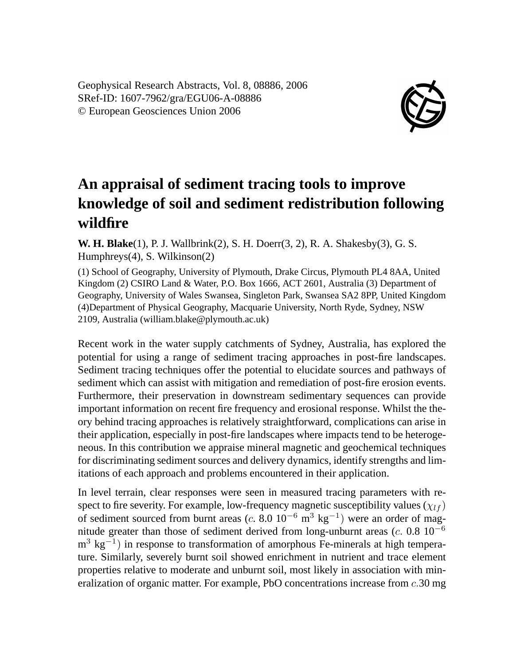Geophysical Research Abstracts, Vol. 8, 08886, 2006 SRef-ID: 1607-7962/gra/EGU06-A-08886 © European Geosciences Union 2006



## **An appraisal of sediment tracing tools to improve knowledge of soil and sediment redistribution following wildfire**

**W. H. Blake**(1), P. J. Wallbrink(2), S. H. Doerr(3, 2), R. A. Shakesby(3), G. S. Humphreys(4), S. Wilkinson(2)

(1) School of Geography, University of Plymouth, Drake Circus, Plymouth PL4 8AA, United Kingdom (2) CSIRO Land & Water, P.O. Box 1666, ACT 2601, Australia (3) Department of Geography, University of Wales Swansea, Singleton Park, Swansea SA2 8PP, United Kingdom (4)Department of Physical Geography, Macquarie University, North Ryde, Sydney, NSW 2109, Australia (william.blake@plymouth.ac.uk)

Recent work in the water supply catchments of Sydney, Australia, has explored the potential for using a range of sediment tracing approaches in post-fire landscapes. Sediment tracing techniques offer the potential to elucidate sources and pathways of sediment which can assist with mitigation and remediation of post-fire erosion events. Furthermore, their preservation in downstream sedimentary sequences can provide important information on recent fire frequency and erosional response. Whilst the theory behind tracing approaches is relatively straightforward, complications can arise in their application, especially in post-fire landscapes where impacts tend to be heterogeneous. In this contribution we appraise mineral magnetic and geochemical techniques for discriminating sediment sources and delivery dynamics, identify strengths and limitations of each approach and problems encountered in their application.

In level terrain, clear responses were seen in measured tracing parameters with respect to fire severity. For example, low-frequency magnetic susceptibility values ( $\chi_{lf}$ ) of sediment sourced from burnt areas (c. 8.0  $10^{-6}$  m<sup>3</sup> kg<sup>-1</sup>) were an order of magnitude greater than those of sediment derived from long-unburnt areas (c. 0.8  $10^{-6}$ ) m<sup>3</sup> kg<sup>-1</sup>) in response to transformation of amorphous Fe-minerals at high temperature. Similarly, severely burnt soil showed enrichment in nutrient and trace element properties relative to moderate and unburnt soil, most likely in association with mineralization of organic matter. For example, PbO concentrations increase from  $c.30$  mg